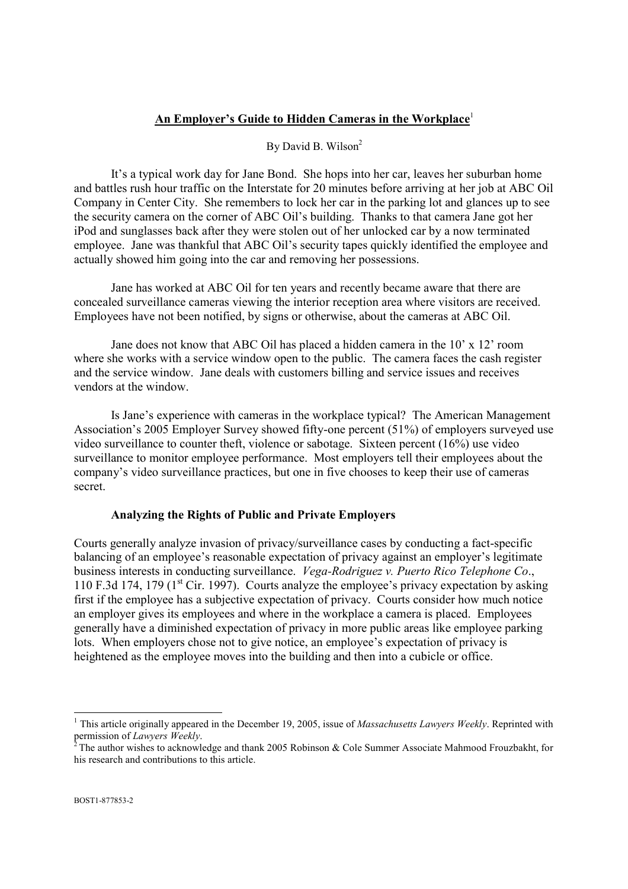# **An Employer's Guide to Hidden Cameras in the Workplace**<sup>1</sup>

# By David B. Wilson<sup>2</sup>

It's a typical work day for Jane Bond. She hops into her car, leaves her suburban home and battles rush hour traffic on the Interstate for 20 minutes before arriving at her job at ABC Oil Company in Center City. She remembers to lock her car in the parking lot and glances up to see the security camera on the corner of ABC Oil's building. Thanks to that camera Jane got her iPod and sunglasses back after they were stolen out of her unlocked car by a now terminated employee. Jane was thankful that ABC Oil's security tapes quickly identified the employee and actually showed him going into the car and removing her possessions.

Jane has worked at ABC Oil for ten years and recently became aware that there are concealed surveillance cameras viewing the interior reception area where visitors are received. Employees have not been notified, by signs or otherwise, about the cameras at ABC Oil.

Jane does not know that ABC Oil has placed a hidden camera in the 10' x 12' room where she works with a service window open to the public. The camera faces the cash register and the service window. Jane deals with customers billing and service issues and receives vendors at the window.

Is Jane's experience with cameras in the workplace typical? The American Management Association's 2005 Employer Survey showed fifty-one percent (51%) of employers surveyed use video surveillance to counter theft, violence or sabotage. Sixteen percent (16%) use video surveillance to monitor employee performance. Most employers tell their employees about the company's video surveillance practices, but one in five chooses to keep their use of cameras secret.

# **Analyzing the Rights of Public and Private Employers**

Courts generally analyze invasion of privacy/surveillance cases by conducting a fact-specific balancing of an employee's reasonable expectation of privacy against an employer's legitimate business interests in conducting surveillance. *Vega-Rodriguez v. Puerto Rico Telephone Co*., 110 F.3d 174, 179 ( $1<sup>st</sup>$  Cir. 1997). Courts analyze the employee's privacy expectation by asking first if the employee has a subjective expectation of privacy. Courts consider how much notice an employer gives its employees and where in the workplace a camera is placed. Employees generally have a diminished expectation of privacy in more public areas like employee parking lots. When employers chose not to give notice, an employee's expectation of privacy is heightened as the employee moves into the building and then into a cubicle or office.

<sup>&</sup>lt;sup>1</sup> This article originally appeared in the December 19, 2005, issue of *Massachusetts Lawyers Weekly*. Reprinted with permission of *Lawyers Weekly*.

The author wishes to acknowledge and thank 2005 Robinson & Cole Summer Associate Mahmood Frouzbakht, for his research and contributions to this article.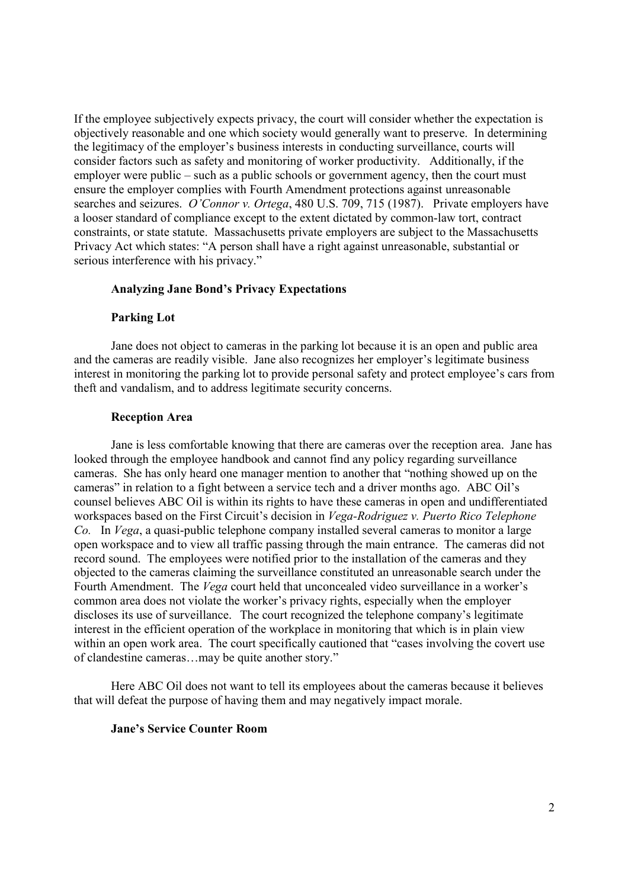If the employee subjectively expects privacy, the court will consider whether the expectation is objectively reasonable and one which society would generally want to preserve. In determining the legitimacy of the employer's business interests in conducting surveillance, courts will consider factors such as safety and monitoring of worker productivity. Additionally, if the employer were public – such as a public schools or government agency, then the court must ensure the employer complies with Fourth Amendment protections against unreasonable searches and seizures. *O'Connor v. Ortega*, 480 U.S. 709, 715 (1987). Private employers have a looser standard of compliance except to the extent dictated by common-law tort, contract constraints, or state statute. Massachusetts private employers are subject to the Massachusetts Privacy Act which states: "A person shall have a right against unreasonable, substantial or serious interference with his privacy."

# **Analyzing Jane Bond's Privacy Expectations**

# **Parking Lot**

Jane does not object to cameras in the parking lot because it is an open and public area and the cameras are readily visible. Jane also recognizes her employer's legitimate business interest in monitoring the parking lot to provide personal safety and protect employee's cars from theft and vandalism, and to address legitimate security concerns.

# **Reception Area**

Jane is less comfortable knowing that there are cameras over the reception area. Jane has looked through the employee handbook and cannot find any policy regarding surveillance cameras. She has only heard one manager mention to another that "nothing showed up on the cameras" in relation to a fight between a service tech and a driver months ago. ABC Oil's counsel believes ABC Oil is within its rights to have these cameras in open and undifferentiated workspaces based on the First Circuit's decision in *Vega-Rodriguez v. Puerto Rico Telephone Co.* In *Vega*, a quasi-public telephone company installed several cameras to monitor a large open workspace and to view all traffic passing through the main entrance. The cameras did not record sound. The employees were notified prior to the installation of the cameras and they objected to the cameras claiming the surveillance constituted an unreasonable search under the Fourth Amendment. The *Vega* court held that unconcealed video surveillance in a worker's common area does not violate the worker's privacy rights, especially when the employer discloses its use of surveillance. The court recognized the telephone company's legitimate interest in the efficient operation of the workplace in monitoring that which is in plain view within an open work area. The court specifically cautioned that "cases involving the covert use of clandestine cameras…may be quite another story."

Here ABC Oil does not want to tell its employees about the cameras because it believes that will defeat the purpose of having them and may negatively impact morale.

#### **Jane's Service Counter Room**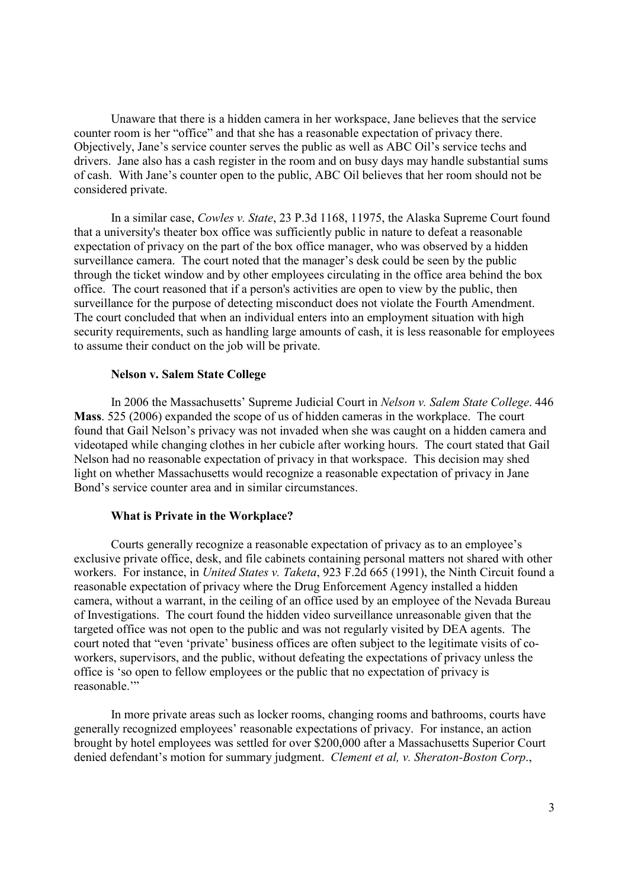Unaware that there is a hidden camera in her workspace, Jane believes that the service counter room is her "office" and that she has a reasonable expectation of privacy there. Objectively, Jane's service counter serves the public as well as ABC Oil's service techs and drivers. Jane also has a cash register in the room and on busy days may handle substantial sums of cash. With Jane's counter open to the public, ABC Oil believes that her room should not be considered private.

In a similar case, *Cowles v. State*, 23 P.3d 1168, 11975, the Alaska Supreme Court found that a university's theater box office was sufficiently public in nature to defeat a reasonable expectation of privacy on the part of the box office manager, who was observed by a hidden surveillance camera. The court noted that the manager's desk could be seen by the public through the ticket window and by other employees circulating in the office area behind the box office. The court reasoned that if a person's activities are open to view by the public, then surveillance for the purpose of detecting misconduct does not violate the Fourth Amendment. The court concluded that when an individual enters into an employment situation with high security requirements, such as handling large amounts of cash, it is less reasonable for employees to assume their conduct on the job will be private.

#### **Nelson v. Salem State College**

In 2006 the Massachusetts' Supreme Judicial Court in *Nelson v. Salem State College*. 446 **Mass**. 525 (2006) expanded the scope of us of hidden cameras in the workplace. The court found that Gail Nelson's privacy was not invaded when she was caught on a hidden camera and videotaped while changing clothes in her cubicle after working hours. The court stated that Gail Nelson had no reasonable expectation of privacy in that workspace. This decision may shed light on whether Massachusetts would recognize a reasonable expectation of privacy in Jane Bond's service counter area and in similar circumstances.

#### **What is Private in the Workplace?**

Courts generally recognize a reasonable expectation of privacy as to an employee's exclusive private office, desk, and file cabinets containing personal matters not shared with other workers. For instance, in *United States v. Taketa*, 923 F.2d 665 (1991), the Ninth Circuit found a reasonable expectation of privacy where the Drug Enforcement Agency installed a hidden camera, without a warrant, in the ceiling of an office used by an employee of the Nevada Bureau of Investigations. The court found the hidden video surveillance unreasonable given that the targeted office was not open to the public and was not regularly visited by DEA agents. The court noted that "even 'private' business offices are often subject to the legitimate visits of coworkers, supervisors, and the public, without defeating the expectations of privacy unless the office is 'so open to fellow employees or the public that no expectation of privacy is reasonable.'"

In more private areas such as locker rooms, changing rooms and bathrooms, courts have generally recognized employees' reasonable expectations of privacy. For instance, an action brought by hotel employees was settled for over \$200,000 after a Massachusetts Superior Court denied defendant's motion for summary judgment. *Clement et al, v. Sheraton-Boston Corp*.,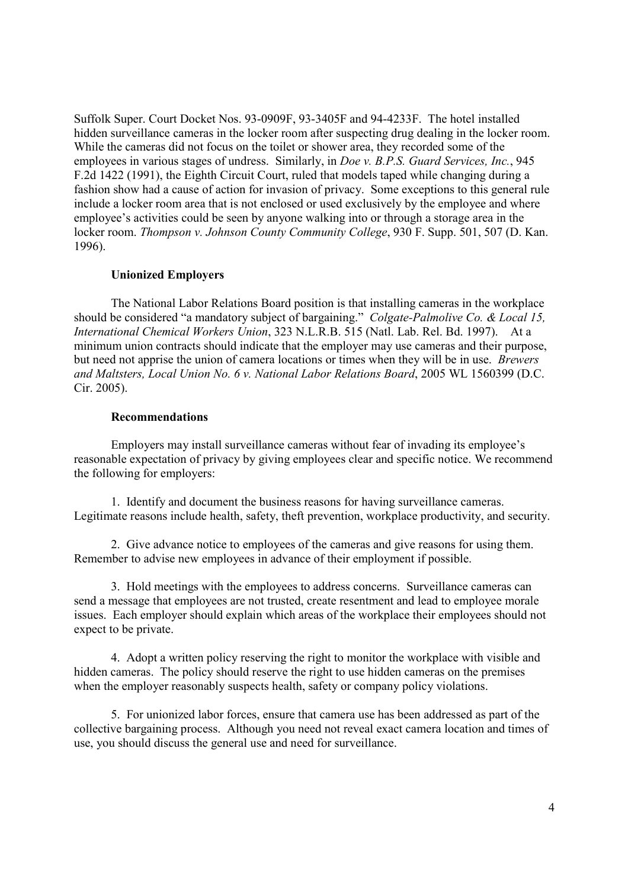Suffolk Super. Court Docket Nos. 93-0909F, 93-3405F and 94-4233F. The hotel installed hidden surveillance cameras in the locker room after suspecting drug dealing in the locker room. While the cameras did not focus on the toilet or shower area, they recorded some of the employees in various stages of undress. Similarly, in *Doe v. B.P.S. Guard Services, Inc.*, 945 F.2d 1422 (1991), the Eighth Circuit Court, ruled that models taped while changing during a fashion show had a cause of action for invasion of privacy. Some exceptions to this general rule include a locker room area that is not enclosed or used exclusively by the employee and where employee's activities could be seen by anyone walking into or through a storage area in the locker room. *Thompson v. Johnson County Community College*, 930 F. Supp. 501, 507 (D. Kan. 1996).

# **Unionized Employers**

The National Labor Relations Board position is that installing cameras in the workplace should be considered "a mandatory subject of bargaining." *Colgate-Palmolive Co. & Local 15, International Chemical Workers Union*, 323 N.L.R.B. 515 (Natl. Lab. Rel. Bd. 1997). At a minimum union contracts should indicate that the employer may use cameras and their purpose, but need not apprise the union of camera locations or times when they will be in use. *Brewers and Maltsters, Local Union No. 6 v. National Labor Relations Board*, 2005 WL 1560399 (D.C. Cir. 2005).

#### **Recommendations**

Employers may install surveillance cameras without fear of invading its employee's reasonable expectation of privacy by giving employees clear and specific notice. We recommend the following for employers:

1. Identify and document the business reasons for having surveillance cameras. Legitimate reasons include health, safety, theft prevention, workplace productivity, and security.

2. Give advance notice to employees of the cameras and give reasons for using them. Remember to advise new employees in advance of their employment if possible.

3. Hold meetings with the employees to address concerns. Surveillance cameras can send a message that employees are not trusted, create resentment and lead to employee morale issues. Each employer should explain which areas of the workplace their employees should not expect to be private.

4. Adopt a written policy reserving the right to monitor the workplace with visible and hidden cameras. The policy should reserve the right to use hidden cameras on the premises when the employer reasonably suspects health, safety or company policy violations.

5. For unionized labor forces, ensure that camera use has been addressed as part of the collective bargaining process. Although you need not reveal exact camera location and times of use, you should discuss the general use and need for surveillance.